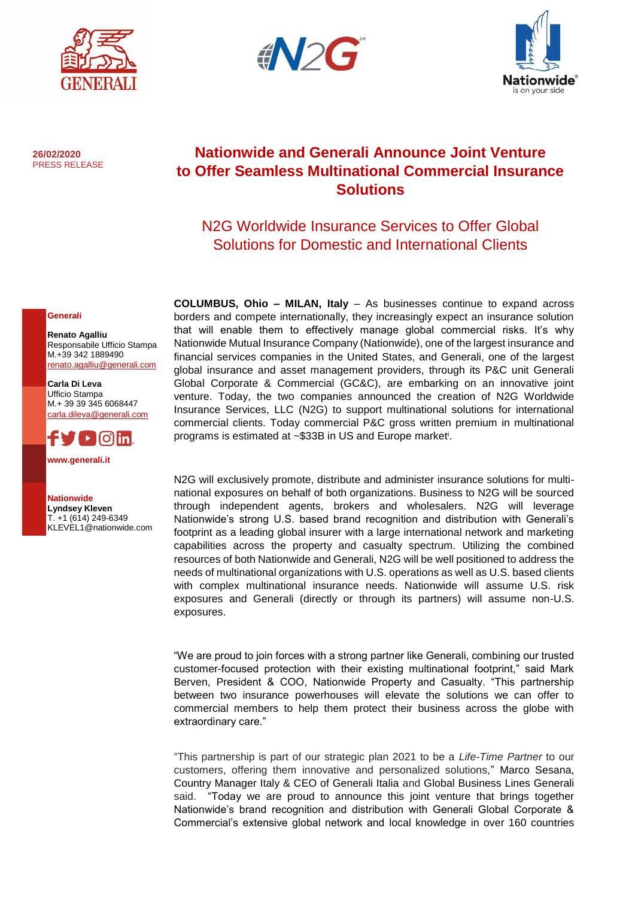





**26/02/2020** PRESS RELEASE

# **Nationwide and Generali Announce Joint Venture to Offer Seamless Multinational Commercial Insurance Solutions**

## N2G Worldwide Insurance Services to Offer Global Solutions for Domestic and International Clients

#### **Generali**

**Renato Agalliu** Responsabile Ufficio Stampa M.+39 342 1889490 [renato.agalliu@generali.com](mailto:renato.agalliu@generali.com)

**Carla Di Leva** Ufficio Stampa M.+ 39 39 345 6068447 [carla.dileva@generali.com](mailto:carla.dileva@generali.com)



**[www.generali.it](http://www.generali.it/)**

**Nationwide Lyndsey Kleven**  T. +1 (614) 249-6349 [KLEVEL1@nationwide.com](mailto:KLEVEL1@nationwide.com) **COLUMBUS, Ohio – MILAN, Italy** – As businesses continue to expand across borders and compete internationally, they increasingly expect an insurance solution that will enable them to effectively manage global commercial risks. It's why Nationwide Mutual Insurance Company (Nationwide), one of the largest insurance and financial services companies in the United States, and Generali, one of the largest global insurance and asset management providers, through its P&C unit Generali Global Corporate & Commercial (GC&C), are embarking on an innovative joint venture. Today, the two companies announced the creation of N2G Worldwide Insurance Services, LLC (N2G) to support multinational solutions for international commercial clients. Today commercial P&C gross written premium in multinational programs is estimated at ~\$33B in US and Europe market<sup>i</sup>.

N2G will exclusively promote, distribute and administer insurance solutions for multinational exposures on behalf of both organizations. Business to N2G will be sourced through independent agents, brokers and wholesalers. N2G will leverage Nationwide's strong U.S. based brand recognition and distribution with Generali's footprint as a leading global insurer with a large international network and marketing capabilities across the property and casualty spectrum. Utilizing the combined resources of both Nationwide and Generali, N2G will be well positioned to address the needs of multinational organizations with U.S. operations as well as U.S. based clients with complex multinational insurance needs. Nationwide will assume U.S. risk exposures and Generali (directly or through its partners) will assume non-U.S. exposures.

"We are proud to join forces with a strong partner like Generali, combining our trusted customer-focused protection with their existing multinational footprint," said Mark Berven, President & COO, Nationwide Property and Casualty. "This partnership between two insurance powerhouses will elevate the solutions we can offer to commercial members to help them protect their business across the globe with extraordinary care."

"This partnership is part of our strategic plan 2021 to be a *Life-Time Partner* to our customers, offering them innovative and personalized solutions," Marco Sesana, Country Manager Italy & CEO of Generali Italia and Global Business Lines Generali said. "Today we are proud to announce this joint venture that brings together Nationwide's brand recognition and distribution with Generali Global Corporate & Commercial's extensive global network and local knowledge in over 160 countries